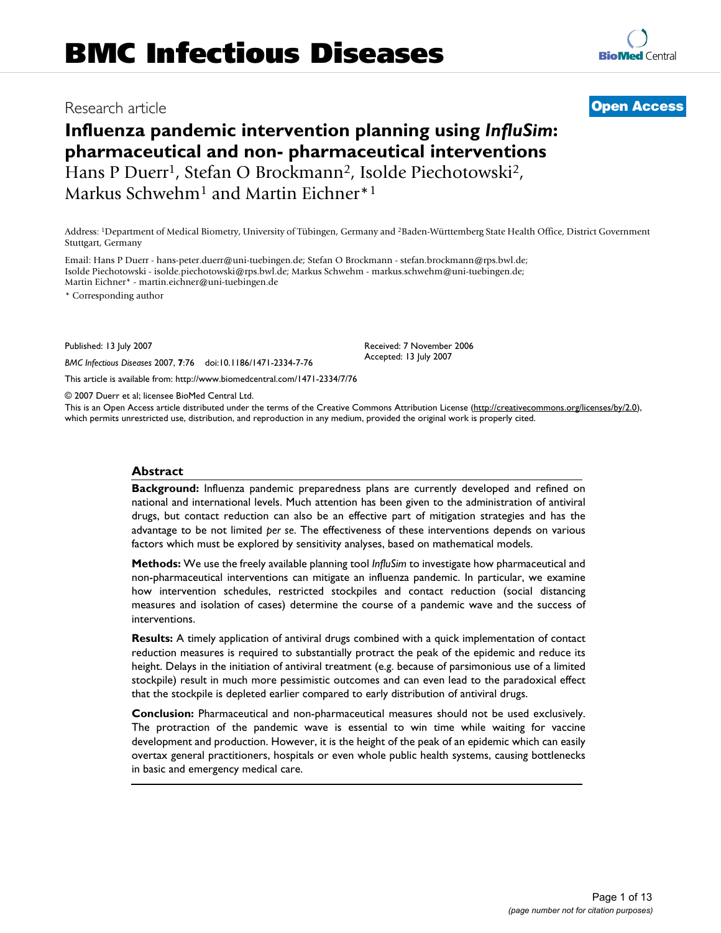# **Influenza pandemic intervention planning using** *InfluSim***: pharmaceutical and non- pharmaceutical interventions** Hans P Duerr<sup>1</sup>, Stefan O Brockmann<sup>2</sup>, Isolde Piechotowski<sup>2</sup>, Markus Schwehm<sup>1</sup> and Martin Eichner<sup>\*1</sup>

Address: 1Department of Medical Biometry, University of Tübingen, Germany and 2Baden-Württemberg State Health Office, District Government Stuttgart, Germany

Email: Hans P Duerr - hans-peter.duerr@uni-tuebingen.de; Stefan O Brockmann - stefan.brockmann@rps.bwl.de; Isolde Piechotowski - isolde.piechotowski@rps.bwl.de; Markus Schwehm - markus.schwehm@uni-tuebingen.de; Martin Eichner\* - martin.eichner@uni-tuebingen.de

\* Corresponding author

Published: 13 July 2007

*BMC Infectious Diseases* 2007, **7**:76 doi:10.1186/1471-2334-7-76

[This article is available from: http://www.biomedcentral.com/1471-2334/7/76](http://www.biomedcentral.com/1471-2334/7/76)

© 2007 Duerr et al; licensee BioMed Central Ltd.

This is an Open Access article distributed under the terms of the Creative Commons Attribution License [\(http://creativecommons.org/licenses/by/2.0\)](http://creativecommons.org/licenses/by/2.0), which permits unrestricted use, distribution, and reproduction in any medium, provided the original work is properly cited.

#### **Abstract**

**Background:** Influenza pandemic preparedness plans are currently developed and refined on national and international levels. Much attention has been given to the administration of antiviral drugs, but contact reduction can also be an effective part of mitigation strategies and has the advantage to be not limited *per se*. The effectiveness of these interventions depends on various factors which must be explored by sensitivity analyses, based on mathematical models.

**Methods:** We use the freely available planning tool *InfluSim* to investigate how pharmaceutical and non-pharmaceutical interventions can mitigate an influenza pandemic. In particular, we examine how intervention schedules, restricted stockpiles and contact reduction (social distancing measures and isolation of cases) determine the course of a pandemic wave and the success of interventions.

**Results:** A timely application of antiviral drugs combined with a quick implementation of contact reduction measures is required to substantially protract the peak of the epidemic and reduce its height. Delays in the initiation of antiviral treatment (e.g. because of parsimonious use of a limited stockpile) result in much more pessimistic outcomes and can even lead to the paradoxical effect that the stockpile is depleted earlier compared to early distribution of antiviral drugs.

**Conclusion:** Pharmaceutical and non-pharmaceutical measures should not be used exclusively. The protraction of the pandemic wave is essential to win time while waiting for vaccine development and production. However, it is the height of the peak of an epidemic which can easily overtax general practitioners, hospitals or even whole public health systems, causing bottlenecks in basic and emergency medical care.



# Research article **[Open Access](http://www.biomedcentral.com/info/about/charter/)**

Received: 7 November 2006 Accepted: 13 July 2007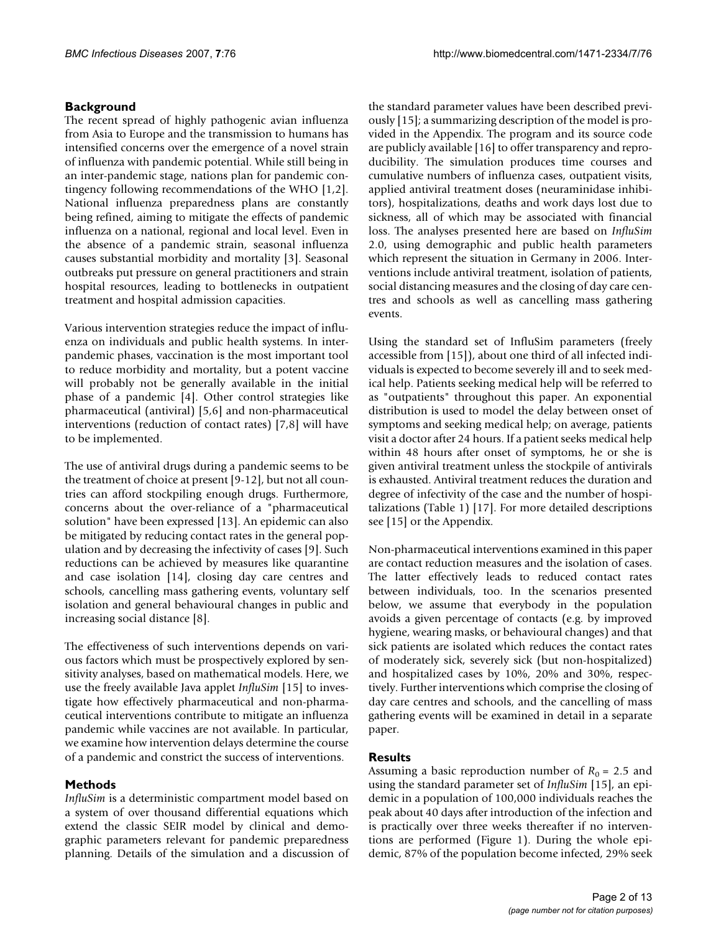# **Background**

The recent spread of highly pathogenic avian influenza from Asia to Europe and the transmission to humans has intensified concerns over the emergence of a novel strain of influenza with pandemic potential. While still being in an inter-pandemic stage, nations plan for pandemic contingency following recommendations of the WHO [1,2]. National influenza preparedness plans are constantly being refined, aiming to mitigate the effects of pandemic influenza on a national, regional and local level. Even in the absence of a pandemic strain, seasonal influenza causes substantial morbidity and mortality [3]. Seasonal outbreaks put pressure on general practitioners and strain hospital resources, leading to bottlenecks in outpatient treatment and hospital admission capacities.

Various intervention strategies reduce the impact of influenza on individuals and public health systems. In interpandemic phases, vaccination is the most important tool to reduce morbidity and mortality, but a potent vaccine will probably not be generally available in the initial phase of a pandemic [4]. Other control strategies like pharmaceutical (antiviral) [5,6] and non-pharmaceutical interventions (reduction of contact rates) [7,8] will have to be implemented.

The use of antiviral drugs during a pandemic seems to be the treatment of choice at present [9-12], but not all countries can afford stockpiling enough drugs. Furthermore, concerns about the over-reliance of a "pharmaceutical solution" have been expressed [13]. An epidemic can also be mitigated by reducing contact rates in the general population and by decreasing the infectivity of cases [9]. Such reductions can be achieved by measures like quarantine and case isolation [14], closing day care centres and schools, cancelling mass gathering events, voluntary self isolation and general behavioural changes in public and increasing social distance [8].

The effectiveness of such interventions depends on various factors which must be prospectively explored by sensitivity analyses, based on mathematical models. Here, we use the freely available Java applet *InfluSim* [15] to investigate how effectively pharmaceutical and non-pharmaceutical interventions contribute to mitigate an influenza pandemic while vaccines are not available. In particular, we examine how intervention delays determine the course of a pandemic and constrict the success of interventions.

# **Methods**

*InfluSim* is a deterministic compartment model based on a system of over thousand differential equations which extend the classic SEIR model by clinical and demographic parameters relevant for pandemic preparedness planning. Details of the simulation and a discussion of the standard parameter values have been described previously [15]; a summarizing description of the model is provided in the Appendix. The program and its source code are publicly available [16] to offer transparency and reproducibility. The simulation produces time courses and cumulative numbers of influenza cases, outpatient visits, applied antiviral treatment doses (neuraminidase inhibitors), hospitalizations, deaths and work days lost due to sickness, all of which may be associated with financial loss. The analyses presented here are based on *InfluSim* 2.0, using demographic and public health parameters which represent the situation in Germany in 2006. Interventions include antiviral treatment, isolation of patients, social distancing measures and the closing of day care centres and schools as well as cancelling mass gathering events.

Using the standard set of InfluSim parameters (freely accessible from [15]), about one third of all infected individuals is expected to become severely ill and to seek medical help. Patients seeking medical help will be referred to as "outpatients" throughout this paper. An exponential distribution is used to model the delay between onset of symptoms and seeking medical help; on average, patients visit a doctor after 24 hours. If a patient seeks medical help within 48 hours after onset of symptoms, he or she is given antiviral treatment unless the stockpile of antivirals is exhausted. Antiviral treatment reduces the duration and degree of infectivity of the case and the number of hospitalizations (Table 1) [17]. For more detailed descriptions see [15] or the Appendix.

Non-pharmaceutical interventions examined in this paper are contact reduction measures and the isolation of cases. The latter effectively leads to reduced contact rates between individuals, too. In the scenarios presented below, we assume that everybody in the population avoids a given percentage of contacts (e.g. by improved hygiene, wearing masks, or behavioural changes) and that sick patients are isolated which reduces the contact rates of moderately sick, severely sick (but non-hospitalized) and hospitalized cases by 10%, 20% and 30%, respectively. Further interventions which comprise the closing of day care centres and schools, and the cancelling of mass gathering events will be examined in detail in a separate paper.

# **Results**

Assuming a basic reproduction number of  $R_0 = 2.5$  and using the standard parameter set of *InfluSim* [15], an epidemic in a population of 100,000 individuals reaches the peak about 40 days after introduction of the infection and is practically over three weeks thereafter if no interventions are performed (Figure 1). During the whole epidemic, 87% of the population become infected, 29% seek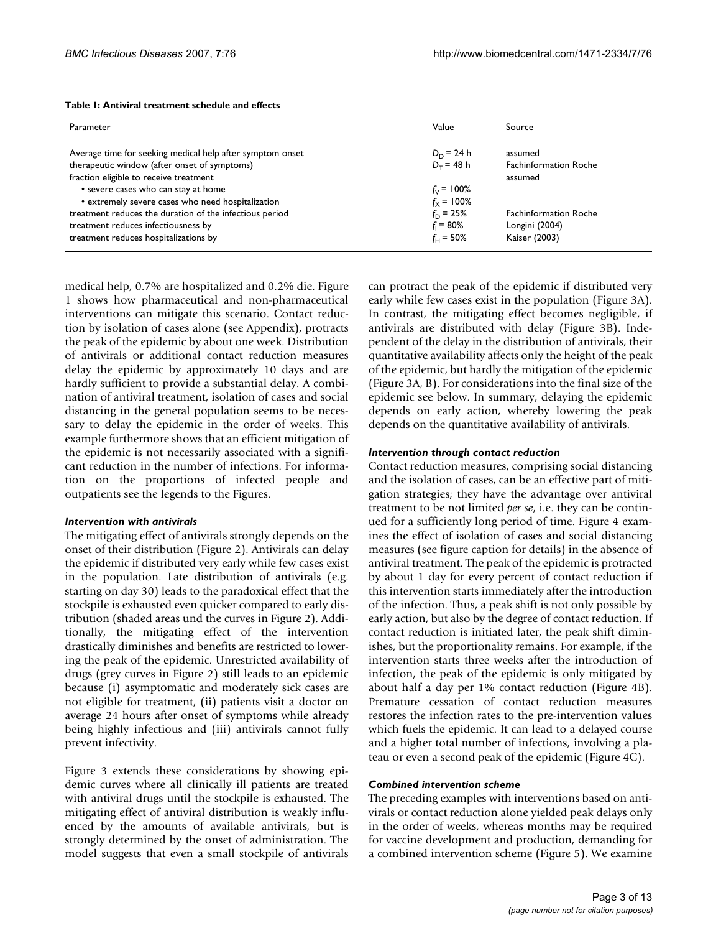| Table 1: Antiviral treatment schedule and effects |  |
|---------------------------------------------------|--|
|---------------------------------------------------|--|

| Parameter                                                 | Value                | Source                       |
|-----------------------------------------------------------|----------------------|------------------------------|
| Average time for seeking medical help after symptom onset | $D_D = 24 h$         | assumed                      |
| therapeutic window (after onset of symptoms)              | $D_{\tau}$ = 48 h    | <b>Fachinformation Roche</b> |
| fraction eligible to receive treatment                    |                      | assumed                      |
| • severe cases who can stay at home                       | $f_v = 100\%$        |                              |
| • extremely severe cases who need hospitalization         | $f_{\rm y}$ = 100%   |                              |
| treatment reduces the duration of the infectious period   | $f_{\text{D}}$ = 25% | <b>Fachinformation Roche</b> |
| treatment reduces infectiousness by                       | $f_1 = 80\%$         | Longini (2004)               |
| treatment reduces hospitalizations by                     | $f_{\text{L}}$ = 50% | Kaiser (2003)                |

medical help, 0.7% are hospitalized and 0.2% die. Figure 1 shows how pharmaceutical and non-pharmaceutical interventions can mitigate this scenario. Contact reduction by isolation of cases alone (see Appendix), protracts the peak of the epidemic by about one week. Distribution of antivirals or additional contact reduction measures delay the epidemic by approximately 10 days and are hardly sufficient to provide a substantial delay. A combination of antiviral treatment, isolation of cases and social distancing in the general population seems to be necessary to delay the epidemic in the order of weeks. This example furthermore shows that an efficient mitigation of the epidemic is not necessarily associated with a significant reduction in the number of infections. For information on the proportions of infected people and outpatients see the legends to the Figures.

#### *Intervention with antivirals*

The mitigating effect of antivirals strongly depends on the onset of their distribution (Figure 2). Antivirals can delay the epidemic if distributed very early while few cases exist in the population. Late distribution of antivirals (e.g. starting on day 30) leads to the paradoxical effect that the stockpile is exhausted even quicker compared to early distribution (shaded areas und the curves in Figure 2). Additionally, the mitigating effect of the intervention drastically diminishes and benefits are restricted to lowering the peak of the epidemic. Unrestricted availability of drugs (grey curves in Figure 2) still leads to an epidemic because (i) asymptomatic and moderately sick cases are not eligible for treatment, (ii) patients visit a doctor on average 24 hours after onset of symptoms while already being highly infectious and (iii) antivirals cannot fully prevent infectivity.

Figure 3 extends these considerations by showing epidemic curves where all clinically ill patients are treated with antiviral drugs until the stockpile is exhausted. The mitigating effect of antiviral distribution is weakly influenced by the amounts of available antivirals, but is strongly determined by the onset of administration. The model suggests that even a small stockpile of antivirals can protract the peak of the epidemic if distributed very early while few cases exist in the population (Figure 3A). In contrast, the mitigating effect becomes negligible, if antivirals are distributed with delay (Figure 3B). Independent of the delay in the distribution of antivirals, their quantitative availability affects only the height of the peak of the epidemic, but hardly the mitigation of the epidemic (Figure 3A, B). For considerations into the final size of the epidemic see below. In summary, delaying the epidemic depends on early action, whereby lowering the peak depends on the quantitative availability of antivirals.

#### *Intervention through contact reduction*

Contact reduction measures, comprising social distancing and the isolation of cases, can be an effective part of mitigation strategies; they have the advantage over antiviral treatment to be not limited *per se*, i.e. they can be continued for a sufficiently long period of time. Figure 4 examines the effect of isolation of cases and social distancing measures (see figure caption for details) in the absence of antiviral treatment. The peak of the epidemic is protracted by about 1 day for every percent of contact reduction if this intervention starts immediately after the introduction of the infection. Thus, a peak shift is not only possible by early action, but also by the degree of contact reduction. If contact reduction is initiated later, the peak shift diminishes, but the proportionality remains. For example, if the intervention starts three weeks after the introduction of infection, the peak of the epidemic is only mitigated by about half a day per 1% contact reduction (Figure 4B). Premature cessation of contact reduction measures restores the infection rates to the pre-intervention values which fuels the epidemic. It can lead to a delayed course and a higher total number of infections, involving a plateau or even a second peak of the epidemic (Figure 4C).

#### *Combined intervention scheme*

The preceding examples with interventions based on antivirals or contact reduction alone yielded peak delays only in the order of weeks, whereas months may be required for vaccine development and production, demanding for a combined intervention scheme (Figure 5). We examine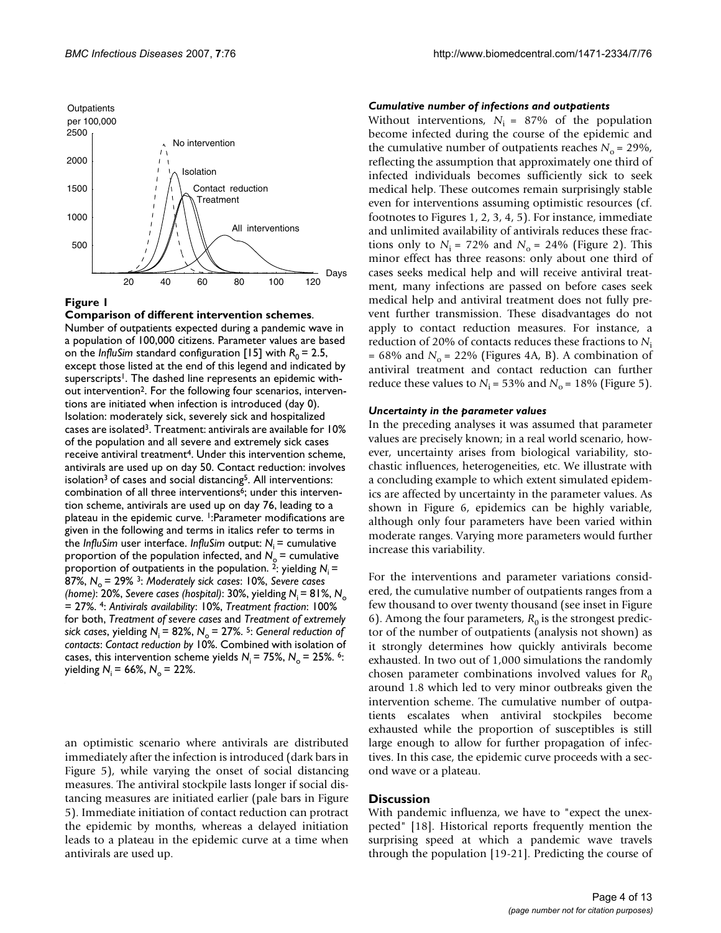

**Comparison of different intervention schemes**.

Number of outpatients expected during a pandemic wave in a population of 100,000 citizens. Parameter values are based on the *InfluSim* standard configuration [15] with  $R_0 = 2.5$ , except those listed at the end of this legend and indicated by superscripts<sup>1</sup>. The dashed line represents an epidemic without intervention<sup>2</sup>. For the following four scenarios, interventions are initiated when infection is introduced (day 0). Isolation: moderately sick, severely sick and hospitalized cases are isolated3. Treatment: antivirals are available for 10% of the population and all severe and extremely sick cases receive antiviral treatment<sup>4</sup>. Under this intervention scheme, antivirals are used up on day 50. Contact reduction: involves isolation<sup>3</sup> of cases and social distancing<sup>5</sup>. All interventions: combination of all three interventions<sup>6</sup>; under this intervention scheme, antivirals are used up on day 76, leading to a plateau in the epidemic curve. <sup>1</sup>:Parameter modifications are given in the following and terms in italics refer to terms in the *InfluSim* user interface. *InfluSim* output: *N*i = cumulative proportion of the population infected, and  $N_0$  = cumulative proportion of outpatients in the population. <sup>2</sup>: yielding  $N_i$  = 87%, N<sub>o</sub> = 29%<sup>3</sup>: Moderately sick cases: 10%, Severe cases *(home)*: 20%, *Severe cases (hospital)*: 30%, yielding *N*i = 81%, *N*<sup>o</sup> = 27%. 4: *Antivirals availability*: 10%, *Treatment fraction*: 100% for both, *Treatment of severe cases* and *Treatment of extremely sick cases, yielding*  $N_i = 82\%, N_o = 27\%$ . <sup>5</sup>: *General reduction of contacts*: *Contact reduction by* 10%. Combined with isolation of cases, this intervention scheme yields  $N_i = 75\%$ ,  $N_o = 25\%$ . <sup>6</sup>: *yielding*  $N_i = 66\%$ ,  $N_o = 22\%$ .

an optimistic scenario where antivirals are distributed immediately after the infection is introduced (dark bars in Figure 5), while varying the onset of social distancing measures. The antiviral stockpile lasts longer if social distancing measures are initiated earlier (pale bars in Figure 5). Immediate initiation of contact reduction can protract the epidemic by months, whereas a delayed initiation leads to a plateau in the epidemic curve at a time when antivirals are used up.

#### *Cumulative number of infections and outpatients*

Without interventions,  $N_i = 87\%$  of the population become infected during the course of the epidemic and the cumulative number of outpatients reaches  $N_0 = 29\%$ , reflecting the assumption that approximately one third of infected individuals becomes sufficiently sick to seek medical help. These outcomes remain surprisingly stable even for interventions assuming optimistic resources (cf. footnotes to Figures 1, 2, 3, 4, 5). For instance, immediate and unlimited availability of antivirals reduces these fractions only to  $N_i$  = 72% and  $N_o$  = 24% (Figure 2). This minor effect has three reasons: only about one third of cases seeks medical help and will receive antiviral treatment, many infections are passed on before cases seek medical help and antiviral treatment does not fully prevent further transmission. These disadvantages do not apply to contact reduction measures. For instance, a reduction of 20% of contacts reduces these fractions to *N*<sup>i</sup>  $= 68\%$  and  $N_0 = 22\%$  (Figures 4A, B). A combination of antiviral treatment and contact reduction can further reduce these values to  $N_i = 53\%$  and  $N_o = 18\%$  (Figure 5).

#### *Uncertainty in the parameter values*

In the preceding analyses it was assumed that parameter values are precisely known; in a real world scenario, however, uncertainty arises from biological variability, stochastic influences, heterogeneities, etc. We illustrate with a concluding example to which extent simulated epidemics are affected by uncertainty in the parameter values. As shown in Figure 6, epidemics can be highly variable, although only four parameters have been varied within moderate ranges. Varying more parameters would further increase this variability.

For the interventions and parameter variations considered, the cumulative number of outpatients ranges from a few thousand to over twenty thousand (see inset in Figure 6). Among the four parameters,  $R_0$  is the strongest predictor of the number of outpatients (analysis not shown) as it strongly determines how quickly antivirals become exhausted. In two out of 1,000 simulations the randomly chosen parameter combinations involved values for  $R_0$ around 1.8 which led to very minor outbreaks given the intervention scheme. The cumulative number of outpatients escalates when antiviral stockpiles become exhausted while the proportion of susceptibles is still large enough to allow for further propagation of infectives. In this case, the epidemic curve proceeds with a second wave or a plateau.

# **Discussion**

With pandemic influenza, we have to "expect the unexpected" [18]. Historical reports frequently mention the surprising speed at which a pandemic wave travels through the population [19-21]. Predicting the course of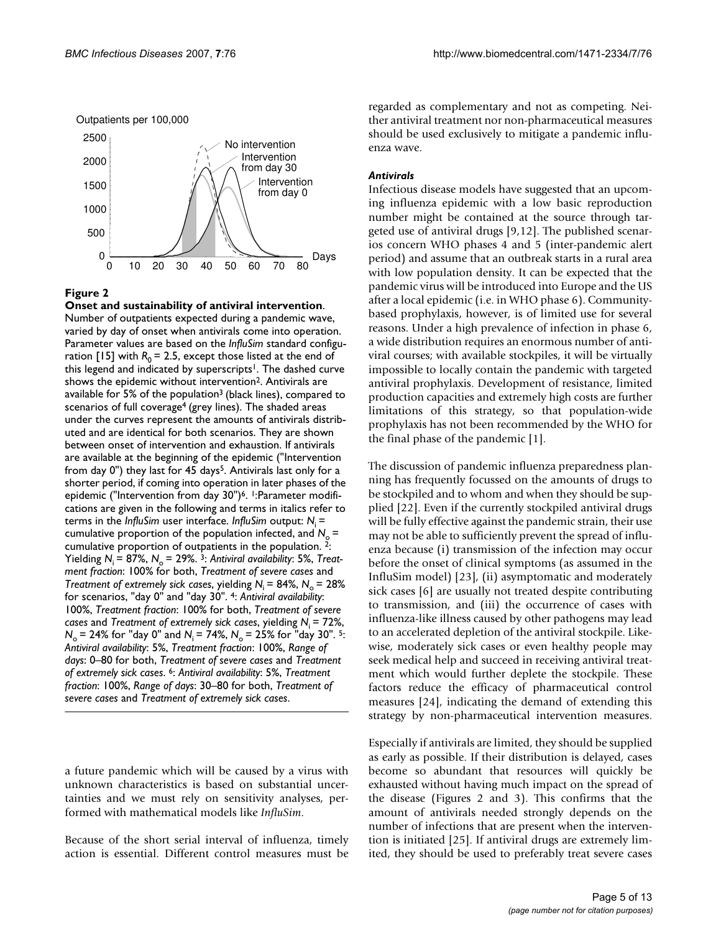Outpatients per 100,000



# **Figure 2**

**Onset and sustainability of antiviral intervention**. Number of outpatients expected during a pandemic wave, varied by day of onset when antivirals come into operation. Parameter values are based on the *InfluSim* standard configuration [15] with  $R_0 = 2.5$ , except those listed at the end of this legend and indicated by superscripts<sup>1</sup>. The dashed curve shows the epidemic without intervention<sup>2</sup>. Antivirals are available for 5% of the population<sup>3</sup> (black lines), compared to scenarios of full coverage<sup>4</sup> (grey lines). The shaded areas under the curves represent the amounts of antivirals distributed and are identical for both scenarios. They are shown between onset of intervention and exhaustion. If antivirals are available at the beginning of the epidemic ("Intervention from day  $0$ ") they last for 45 days<sup>5</sup>. Antivirals last only for a shorter period, if coming into operation in later phases of the epidemic ("Intervention from day 30")<sup>6</sup>. <sup>1</sup>: Parameter modifications are given in the following and terms in italics refer to terms in the *InfluSim* user interface. *InfluSim* output: *N*i = cumulative proportion of the population infected, and  $N_c$  = cumulative proportion of outpatients in the population. 2: Yielding  $N_i = 87\%, N_o = 29\%$ . <sup>3</sup>: Antiviral availability: 5%, Treat*ment fraction*: 100% for both, *Treatment of severe cases* and *Treatment of extremely sick cases, yielding*  $N_i = 84\%$ *,*  $N_o = 28\%$ for scenarios, "day 0" and "day 30". 4: *Antiviral availability*: 100%, *Treatment fraction*: 100% for both, *Treatment of severe cases* and *Treatment of extremely sick cases*, yielding *N*i = 72%,  $N_0$  = 24% for "day 0" and  $N_i$  = 74%,  $N_0$  = 25% for "day 30". <sup>5</sup>: *Antiviral availability*: 5%, *Treatment fraction*: 100%, *Range of days*: 0–80 for both, *Treatment of severe cases* and *Treatment of extremely sick cases*. 6: *Antiviral availability*: 5%, *Treatment fraction*: 100%, *Range of days*: 30–80 for both, *Treatment of severe cases* and *Treatment of extremely sick cases*.

a future pandemic which will be caused by a virus with unknown characteristics is based on substantial uncertainties and we must rely on sensitivity analyses, performed with mathematical models like *InfluSim*.

Because of the short serial interval of influenza, timely action is essential. Different control measures must be regarded as complementary and not as competing. Neither antiviral treatment nor non-pharmaceutical measures should be used exclusively to mitigate a pandemic influenza wave.

# *Antivirals*

Infectious disease models have suggested that an upcoming influenza epidemic with a low basic reproduction number might be contained at the source through targeted use of antiviral drugs [9,12]. The published scenarios concern WHO phases 4 and 5 (inter-pandemic alert period) and assume that an outbreak starts in a rural area with low population density. It can be expected that the pandemic virus will be introduced into Europe and the US after a local epidemic (i.e. in WHO phase 6). Communitybased prophylaxis, however, is of limited use for several reasons. Under a high prevalence of infection in phase 6, a wide distribution requires an enormous number of antiviral courses; with available stockpiles, it will be virtually impossible to locally contain the pandemic with targeted antiviral prophylaxis. Development of resistance, limited production capacities and extremely high costs are further limitations of this strategy, so that population-wide prophylaxis has not been recommended by the WHO for the final phase of the pandemic [1].

The discussion of pandemic influenza preparedness planning has frequently focussed on the amounts of drugs to be stockpiled and to whom and when they should be supplied [22]. Even if the currently stockpiled antiviral drugs will be fully effective against the pandemic strain, their use may not be able to sufficiently prevent the spread of influenza because (i) transmission of the infection may occur before the onset of clinical symptoms (as assumed in the InfluSim model) [23], (ii) asymptomatic and moderately sick cases [6] are usually not treated despite contributing to transmission, and (iii) the occurrence of cases with influenza-like illness caused by other pathogens may lead to an accelerated depletion of the antiviral stockpile. Likewise, moderately sick cases or even healthy people may seek medical help and succeed in receiving antiviral treatment which would further deplete the stockpile. These factors reduce the efficacy of pharmaceutical control measures [24], indicating the demand of extending this strategy by non-pharmaceutical intervention measures.

Especially if antivirals are limited, they should be supplied as early as possible. If their distribution is delayed, cases become so abundant that resources will quickly be exhausted without having much impact on the spread of the disease (Figures 2 and 3). This confirms that the amount of antivirals needed strongly depends on the number of infections that are present when the intervention is initiated [25]. If antiviral drugs are extremely limited, they should be used to preferably treat severe cases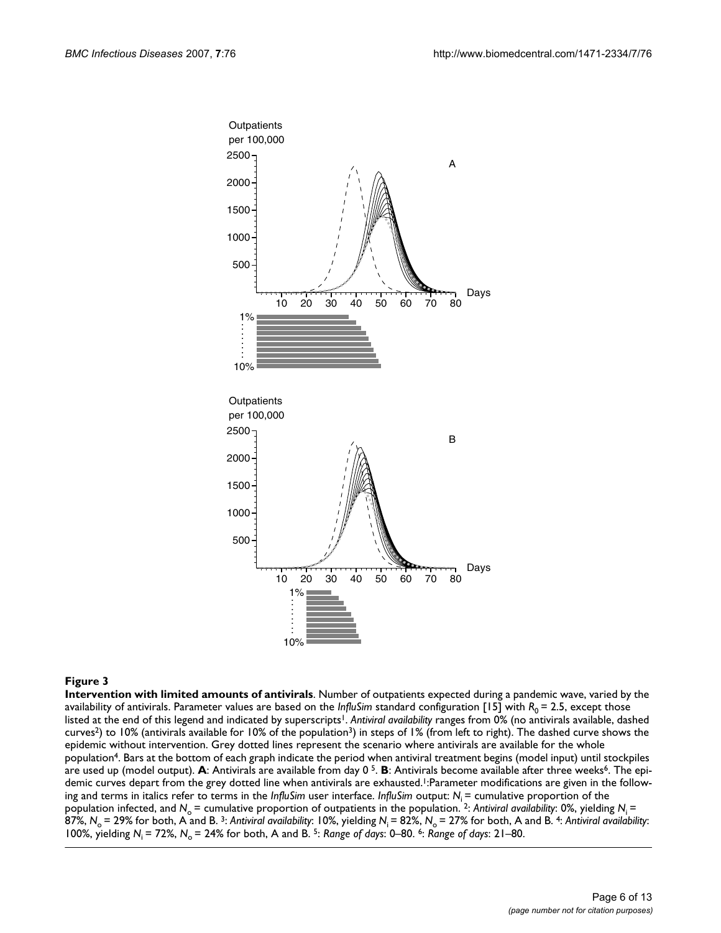

**Intervention with limited amounts of antivirals**. Number of outpatients expected during a pandemic wave, varied by the availability of antivirals. Parameter values are based on the *InfluSim* standard configuration [15] with  $R_0 = 2.5$ , except those listed at the end of this legend and indicated by superscripts<sup>1</sup>. Antiviral availability ranges from 0% (no antivirals available, dashed curves2) to 10% (antivirals available for 10% of the population3) in steps of 1% (from left to right). The dashed curve shows the epidemic without intervention. Grey dotted lines represent the scenario where antivirals are available for the whole population4. Bars at the bottom of each graph indicate the period when antiviral treatment begins (model input) until stockpiles are used up (model output). A: Antivirals are available from day 0<sup>5</sup>. B: Antivirals become available after three weeks<sup>6</sup>. The epidemic curves depart from the grey dotted line when antivirals are exhausted.<sup>1</sup>:Parameter modifications are given in the following and terms in italics refer to terms in the *InfluSim* user interface. *InfluSim* output: *N*i = cumulative proportion of the population infected, and N<sub>o</sub> = cumulative proportion of outpatients in the population. <sup>2</sup>: Antiviral availability: 0%, yielding N<sub>i</sub> = 87%, N<sub>o</sub> = 29% for both, A and B.<sup>3</sup>: Antiviral availability: 10%, yielding N<sub>i</sub> = 82%, N<sub>o</sub> = 27% for both, A and B.<sup>4</sup>: Antiviral availability: 100%, yielding *N*i = 72%, *N*o = 24% for both, A and B. 5: *Range of days*: 0–80. 6: *Range of days*: 21–80.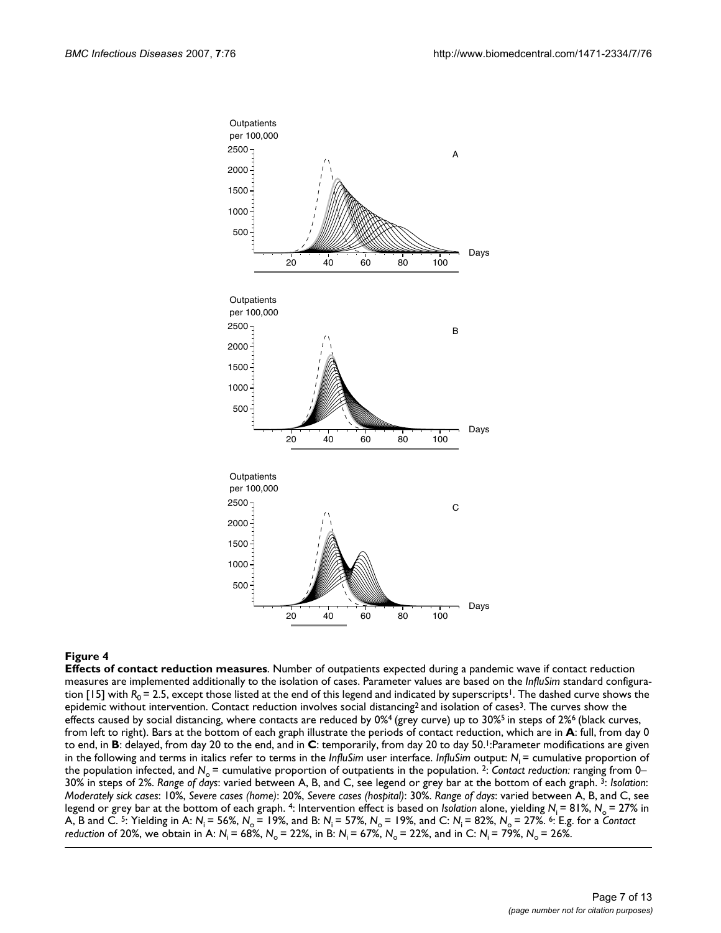

**Effects of contact reduction measures**. Number of outpatients expected during a pandemic wave if contact reduction measures are implemented additionally to the isolation of cases. Parameter values are based on the *InfluSim* standard configuration [15] with  $R_0$  = 2.5, except those listed at the end of this legend and indicated by superscripts<sup>1</sup>. The dashed curve shows the epidemic without intervention. Contact reduction involves social distancing<sup>2</sup> and isolation of cases<sup>3</sup>. The curves show the effects caused by social distancing, where contacts are reduced by  $0\%$ <sup>4</sup> (grey curve) up to  $30\%$ <sup>5</sup> in steps of  $2\%$ <sup>6</sup> (black curves, from left to right). Bars at the bottom of each graph illustrate the periods of contact reduction, which are in **A**: full, from day 0 to end, in **B**: delayed, from day 20 to the end, and in **C**: temporarily, from day 20 to day 50.1:Parameter modifications are given in the following and terms in italics refer to terms in the *InfluSim* user interface. *InfluSim* output: N<sub>i</sub> = cumulative proportion of the population infected, and N<sub>o</sub> = cumulative proportion of outpatients in the population. <sup>2</sup>: *Contact reduction: ranging from 0–* 30% in steps of 2%. *Range of days*: varied between A, B, and C, see legend or grey bar at the bottom of each graph. 3: *Isolation*: *Moderately sick cases*: 10%, *Severe cases (home)*: 20%, *Severe cases (hospital)*: 30%. *Range of days*: varied between A, B, and C, see legend or grey bar at the bottom of each graph. 4: Intervention effect is based on *Isolation* alone, yielding N<sub>i</sub> = 81%, N<sub>o</sub> = 27% in A, B and C. <sup>5</sup>: Yielding in A:  $N_i$  = 56%,  $N_o$  = 19%, and B:  $N_i$  = 57%,  $N_o$  = 19%, and C:  $N_i$  = 82%,  $N_o$  = 27%. <sup>6</sup>: E.g. for a *Contact reduction of 20%, we obtain in A:*  $N_i = 68\%$ ,  $N_o = 22\%$ , in B:  $N_i = 67\%$ ,  $N_o = 22\%$ , and in C:  $N_i = 79\%$ ,  $N_o = 26\%$ .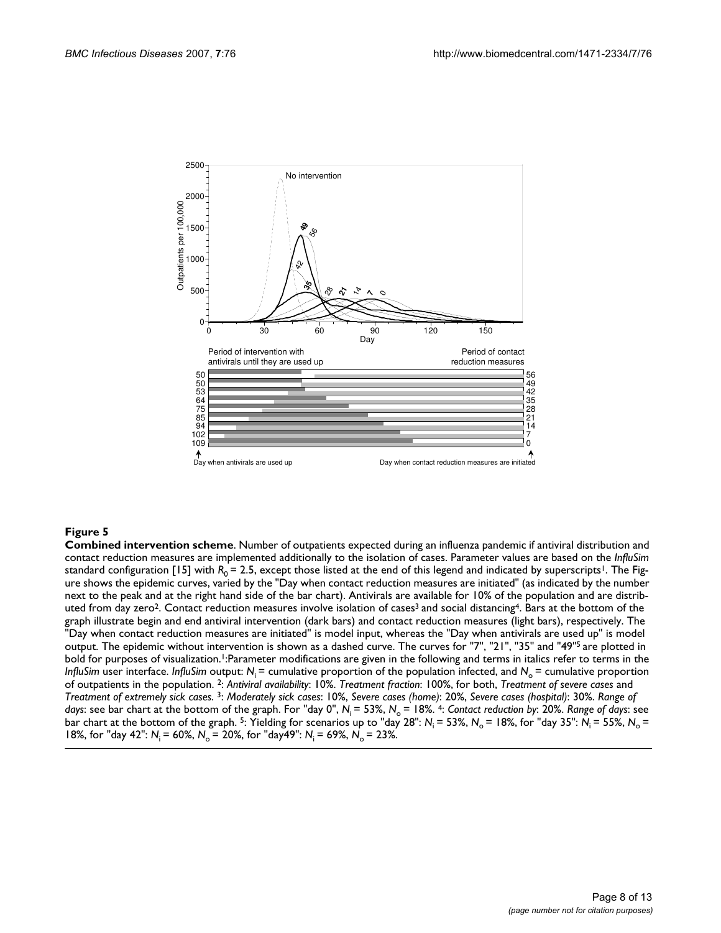

**Combined intervention scheme**. Number of outpatients expected during an influenza pandemic if antiviral distribution and contact reduction measures are implemented additionally to the isolation of cases. Parameter values are based on the *InfluSim*  standard configuration [15] with  $R_0 = 2.5$ , except those listed at the end of this legend and indicated by superscripts<sup>1</sup>. The Figure shows the epidemic curves, varied by the "Day when contact reduction measures are initiated" (as indicated by the number next to the peak and at the right hand side of the bar chart). Antivirals are available for 10% of the population and are distributed from day zero<sup>2</sup>. Contact reduction measures involve isolation of cases<sup>3</sup> and social distancing<sup>4</sup>. Bars at the bottom of the graph illustrate begin and end antiviral intervention (dark bars) and contact reduction measures (light bars), respectively. The "Day when contact reduction measures are initiated" is model input, whereas the "Day when antivirals are used up" is model output. The epidemic without intervention is shown as a dashed curve. The curves for "7", "21", "35" and "49"<sup>5</sup> are plotted in bold for purposes of visualization.<sup>1</sup>:Parameter modifications are given in the following and terms in italics refer to terms in the *InfluSim* user interface. *InfluSim* output:  $N_i$  = cumulative proportion of the population infected, and  $N_o$  = cumulative proportion of outpatients in the population. 2: *Antiviral availability*: 10%. *Treatment fraction*: 100%, for both, *Treatment of severe cases* and *Treatment of extremely sick cases*. 3: *Moderately sick cases*: 10%, *Severe cases (home)*: 20%, *Severe cases (hospital)*: 30%. *Range of days*: see bar chart at the bottom of the graph. For "day 0",  $N_i$  = 53%,  $N_o$  = 18%. 4: *Contact reduction by*: 20%. *Range of days*: see bar chart at the bottom of the graph. <sup>5</sup>: Yielding for scenarios up to "day 28":  $N_i = 53\%$ ,  $N_o = 18\%$ , for "day 35":  $N_i = 55\%$ ,  $N_o = 18\%$ 18%, for "day 42":  $N_i = 60\%$ ,  $N_o = 20\%$ , for "day 49":  $N_i = 69\%$ ,  $N_o = 23\%$ .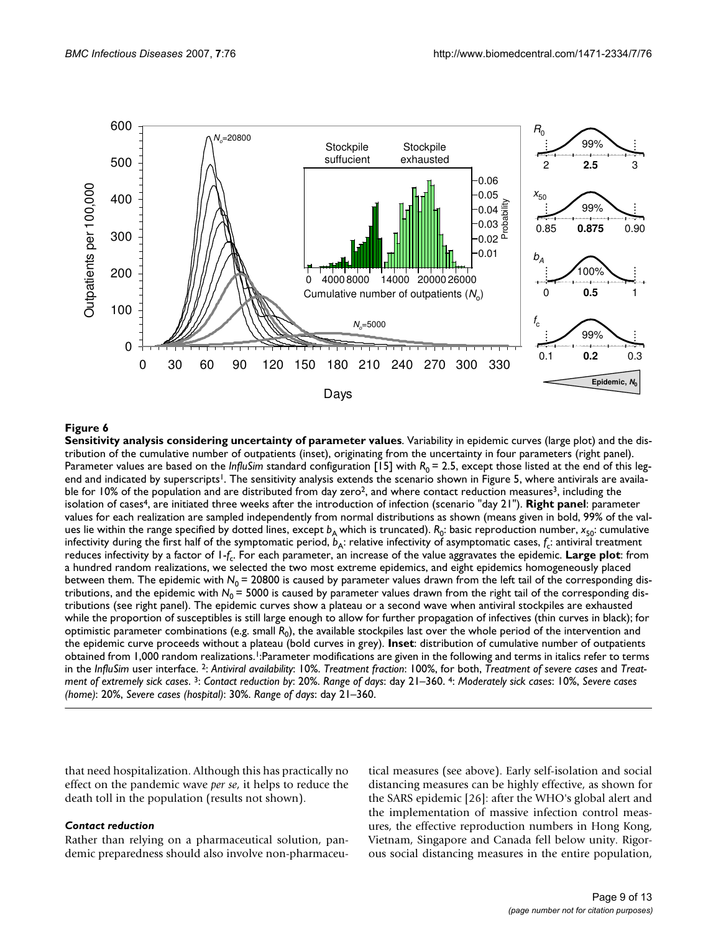

**Sensitivity analysis considering uncertainty of parameter values**. Variability in epidemic curves (large plot) and the distribution of the cumulative number of outpatients (inset), originating from the uncertainty in four parameters (right panel). Parameter values are based on the *InfluSim* standard configuration [15] with  $R_0 = 2.5$ , except those listed at the end of this legend and indicated by superscripts<sup>1</sup>. The sensitivity analysis extends the scenario shown in Figure 5, where antivirals are available for 10% of the population and are distributed from day zero<sup>2</sup>, and where contact reduction measures<sup>3</sup>, including the isolation of cases4, are initiated three weeks after the introduction of infection (scenario "day 21"). **Right panel**: parameter values for each realization are sampled independently from normal distributions as shown (means given in bold, 99% of the values lie within the range specified by dotted lines, except  $b_A$  which is truncated).  $R_0$ : basic reproduction number,  $x_{50}$ : cumulative infectivity during the first half of the symptomatic period,  $b_A$ : relative infectivity of asymptomatic cases,  $f_c$ : antiviral treatment reduces infectivity by a factor of 1-*f*c. For each parameter, an increase of the value aggravates the epidemic. **Large plot**: from a hundred random realizations, we selected the two most extreme epidemics, and eight epidemics homogeneously placed between them. The epidemic with N<sub>0</sub> = 20800 is caused by parameter values drawn from the left tail of the corresponding distributions, and the epidemic with  $N_0$  = 5000 is caused by parameter values drawn from the right tail of the corresponding distributions (see right panel). The epidemic curves show a plateau or a second wave when antiviral stockpiles are exhausted while the proportion of susceptibles is still large enough to allow for further propagation of infectives (thin curves in black); for optimistic parameter combinations (e.g. small *R*0), the available stockpiles last over the whole period of the intervention and the epidemic curve proceeds without a plateau (bold curves in grey). **Inset**: distribution of cumulative number of outpatients obtained from 1,000 random realizations.1:Parameter modifications are given in the following and terms in italics refer to terms in the *InfluSim* user interface. 2: *Antiviral availability*: 10%. *Treatment fraction*: 100%, for both, *Treatment of severe cases* and *Treatment of extremely sick cases*. 3: *Contact reduction by*: 20%. *Range of days*: day 21–360. 4: *Moderately sick cases*: 10%, *Severe cases (home)*: 20%, *Severe cases (hospital)*: 30%. *Range of days*: day 21–360.

that need hospitalization. Although this has practically no effect on the pandemic wave *per se*, it helps to reduce the death toll in the population (results not shown).

# *Contact reduction*

Rather than relying on a pharmaceutical solution, pandemic preparedness should also involve non-pharmaceutical measures (see above). Early self-isolation and social distancing measures can be highly effective, as shown for the SARS epidemic [26]: after the WHO's global alert and the implementation of massive infection control measures, the effective reproduction numbers in Hong Kong, Vietnam, Singapore and Canada fell below unity. Rigorous social distancing measures in the entire population,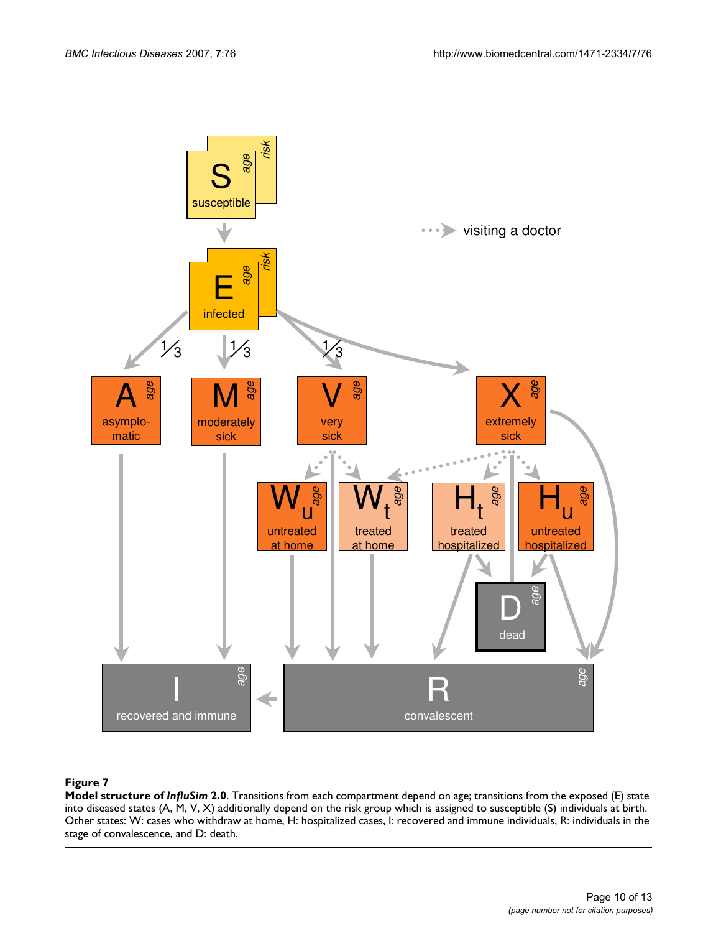

**Model structure of** *InfluSim* **2.0**. Transitions from each compartment depend on age; transitions from the exposed (E) state into diseased states (A, M, V, X) additionally depend on the risk group which is assigned to susceptible (S) individuals at birth. Other states: W: cases who withdraw at home, H: hospitalized cases, I: recovered and immune individuals, R: individuals in the stage of convalescence, and D: death.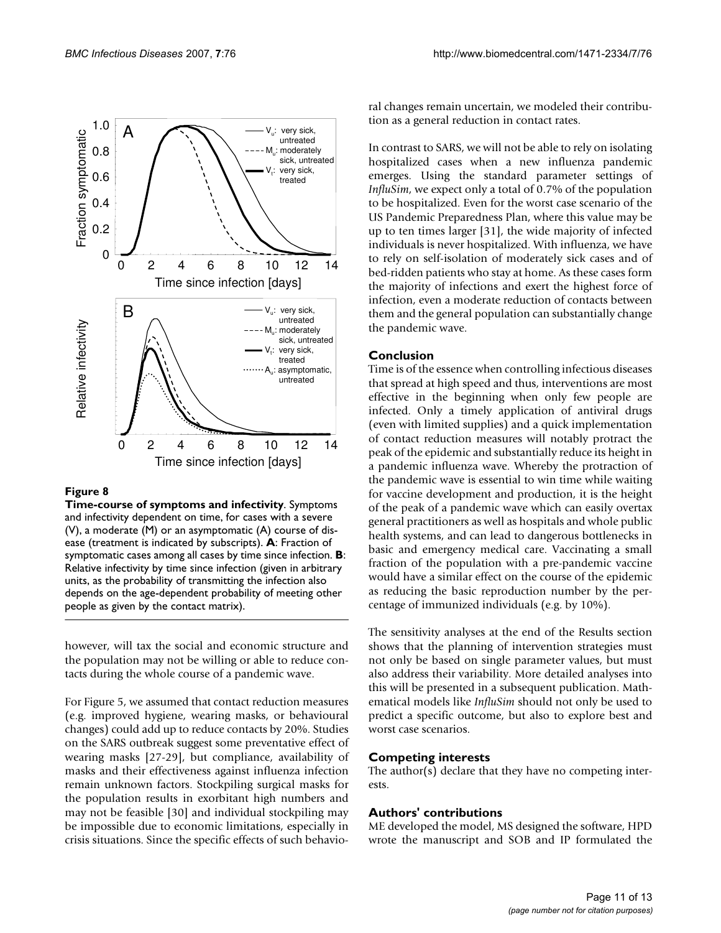

**Time-course of symptoms and infectivity**. Symptoms and infectivity dependent on time, for cases with a severe (V), a moderate (M) or an asymptomatic (A) course of disease (treatment is indicated by subscripts). **A**: Fraction of symptomatic cases among all cases by time since infection. **B**: Relative infectivity by time since infection (given in arbitrary units, as the probability of transmitting the infection also depends on the age-dependent probability of meeting other people as given by the contact matrix).

however, will tax the social and economic structure and the population may not be willing or able to reduce contacts during the whole course of a pandemic wave.

For Figure 5, we assumed that contact reduction measures (e.g. improved hygiene, wearing masks, or behavioural changes) could add up to reduce contacts by 20%. Studies on the SARS outbreak suggest some preventative effect of wearing masks [27-29], but compliance, availability of masks and their effectiveness against influenza infection remain unknown factors. Stockpiling surgical masks for the population results in exorbitant high numbers and may not be feasible [30] and individual stockpiling may be impossible due to economic limitations, especially in crisis situations. Since the specific effects of such behavioral changes remain uncertain, we modeled their contribution as a general reduction in contact rates.

In contrast to SARS, we will not be able to rely on isolating hospitalized cases when a new influenza pandemic emerges. Using the standard parameter settings of *InfluSim*, we expect only a total of 0.7% of the population to be hospitalized. Even for the worst case scenario of the US Pandemic Preparedness Plan, where this value may be up to ten times larger [31], the wide majority of infected individuals is never hospitalized. With influenza, we have to rely on self-isolation of moderately sick cases and of bed-ridden patients who stay at home. As these cases form the majority of infections and exert the highest force of infection, even a moderate reduction of contacts between them and the general population can substantially change the pandemic wave.

# **Conclusion**

Time is of the essence when controlling infectious diseases that spread at high speed and thus, interventions are most effective in the beginning when only few people are infected. Only a timely application of antiviral drugs (even with limited supplies) and a quick implementation of contact reduction measures will notably protract the peak of the epidemic and substantially reduce its height in a pandemic influenza wave. Whereby the protraction of the pandemic wave is essential to win time while waiting for vaccine development and production, it is the height of the peak of a pandemic wave which can easily overtax general practitioners as well as hospitals and whole public health systems, and can lead to dangerous bottlenecks in basic and emergency medical care. Vaccinating a small fraction of the population with a pre-pandemic vaccine would have a similar effect on the course of the epidemic as reducing the basic reproduction number by the percentage of immunized individuals (e.g. by 10%).

The sensitivity analyses at the end of the Results section shows that the planning of intervention strategies must not only be based on single parameter values, but must also address their variability. More detailed analyses into this will be presented in a subsequent publication. Mathematical models like *InfluSim* should not only be used to predict a specific outcome, but also to explore best and worst case scenarios.

# **Competing interests**

The author(s) declare that they have no competing interests.

# **Authors' contributions**

ME developed the model, MS designed the software, HPD wrote the manuscript and SOB and IP formulated the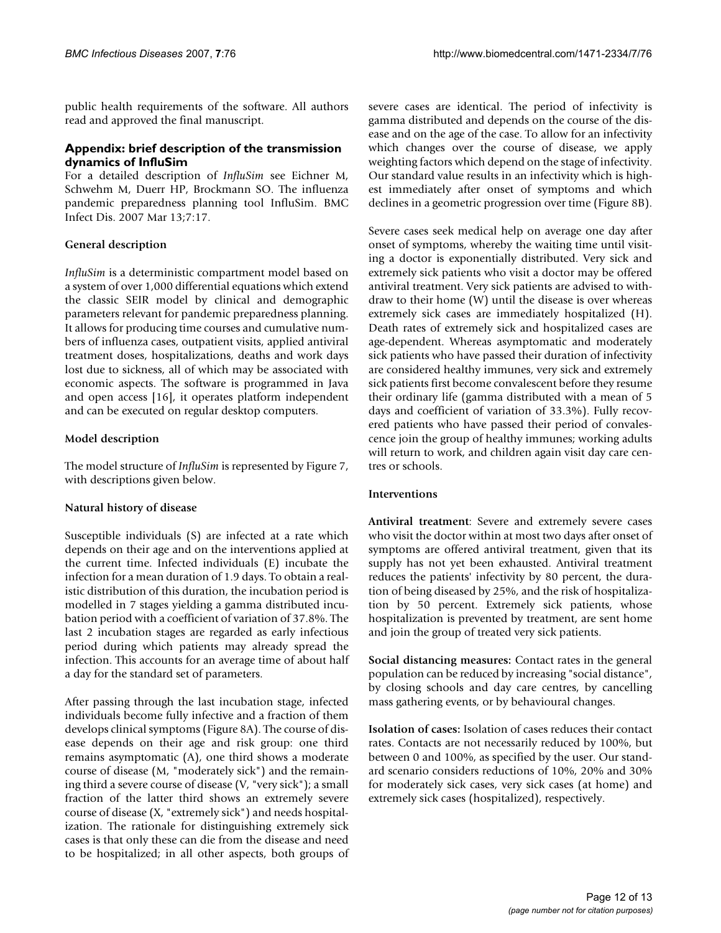public health requirements of the software. All authors read and approved the final manuscript.

# **Appendix: brief description of the transmission dynamics of InfluSim**

For a detailed description of *InfluSim* see Eichner M, Schwehm M, Duerr HP, Brockmann SO. The influenza pandemic preparedness planning tool InfluSim. BMC Infect Dis. 2007 Mar 13;7:17.

# **General description**

*InfluSim* is a deterministic compartment model based on a system of over 1,000 differential equations which extend the classic SEIR model by clinical and demographic parameters relevant for pandemic preparedness planning. It allows for producing time courses and cumulative numbers of influenza cases, outpatient visits, applied antiviral treatment doses, hospitalizations, deaths and work days lost due to sickness, all of which may be associated with economic aspects. The software is programmed in Java and open access [16], it operates platform independent and can be executed on regular desktop computers.

# **Model description**

The model structure of *InfluSim* is represented by Figure 7, with descriptions given below.

# **Natural history of disease**

Susceptible individuals (S) are infected at a rate which depends on their age and on the interventions applied at the current time. Infected individuals (E) incubate the infection for a mean duration of 1.9 days. To obtain a realistic distribution of this duration, the incubation period is modelled in 7 stages yielding a gamma distributed incubation period with a coefficient of variation of 37.8%. The last 2 incubation stages are regarded as early infectious period during which patients may already spread the infection. This accounts for an average time of about half a day for the standard set of parameters.

After passing through the last incubation stage, infected individuals become fully infective and a fraction of them develops clinical symptoms (Figure 8A). The course of disease depends on their age and risk group: one third remains asymptomatic (A), one third shows a moderate course of disease (M, "moderately sick") and the remaining third a severe course of disease (V, "very sick"); a small fraction of the latter third shows an extremely severe course of disease (X, "extremely sick") and needs hospitalization. The rationale for distinguishing extremely sick cases is that only these can die from the disease and need to be hospitalized; in all other aspects, both groups of severe cases are identical. The period of infectivity is gamma distributed and depends on the course of the disease and on the age of the case. To allow for an infectivity which changes over the course of disease, we apply weighting factors which depend on the stage of infectivity. Our standard value results in an infectivity which is highest immediately after onset of symptoms and which declines in a geometric progression over time (Figure 8B).

Severe cases seek medical help on average one day after onset of symptoms, whereby the waiting time until visiting a doctor is exponentially distributed. Very sick and extremely sick patients who visit a doctor may be offered antiviral treatment. Very sick patients are advised to withdraw to their home (W) until the disease is over whereas extremely sick cases are immediately hospitalized (H). Death rates of extremely sick and hospitalized cases are age-dependent. Whereas asymptomatic and moderately sick patients who have passed their duration of infectivity are considered healthy immunes, very sick and extremely sick patients first become convalescent before they resume their ordinary life (gamma distributed with a mean of 5 days and coefficient of variation of 33.3%). Fully recovered patients who have passed their period of convalescence join the group of healthy immunes; working adults will return to work, and children again visit day care centres or schools.

# **Interventions**

**Antiviral treatment**: Severe and extremely severe cases who visit the doctor within at most two days after onset of symptoms are offered antiviral treatment, given that its supply has not yet been exhausted. Antiviral treatment reduces the patients' infectivity by 80 percent, the duration of being diseased by 25%, and the risk of hospitalization by 50 percent. Extremely sick patients, whose hospitalization is prevented by treatment, are sent home and join the group of treated very sick patients.

**Social distancing measures:** Contact rates in the general population can be reduced by increasing "social distance", by closing schools and day care centres, by cancelling mass gathering events, or by behavioural changes.

**Isolation of cases:** Isolation of cases reduces their contact rates. Contacts are not necessarily reduced by 100%, but between 0 and 100%, as specified by the user. Our standard scenario considers reductions of 10%, 20% and 30% for moderately sick cases, very sick cases (at home) and extremely sick cases (hospitalized), respectively.